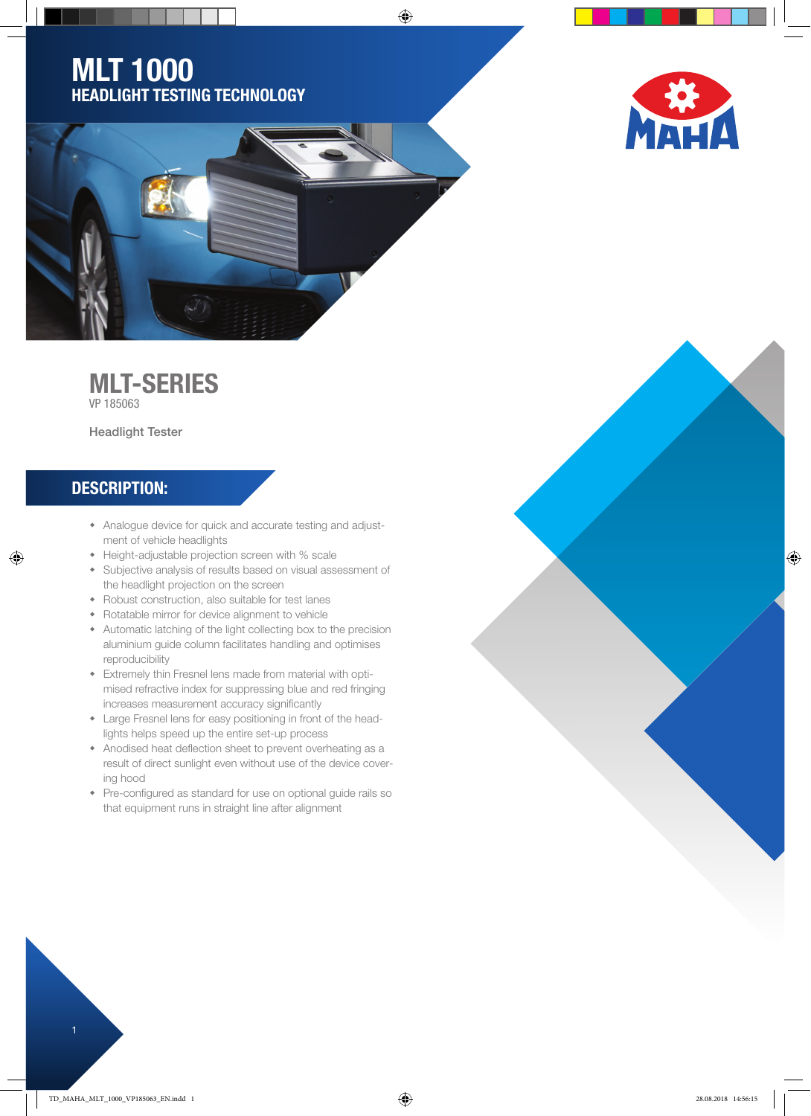## MLT 1000 HEADLIGHT TESTING TECHNOLOGY





⊕

## MLT-SERIES

VP 185063

Headlight Tester

## DESCRIPTION:

◈

- Analogue device for quick and accurate testing and adjustment of vehicle headlights
- Height-adjustable projection screen with % scale
- Subjective analysis of results based on visual assessment of the headlight projection on the screen
- Robust construction, also suitable for test lanes
- Rotatable mirror for device alignment to vehicle
- Automatic latching of the light collecting box to the precision aluminium guide column facilitates handling and optimises reproducibility
- Extremely thin Fresnel lens made from material with optimised refractive index for suppressing blue and red fringing increases measurement accuracy significantly
- Large Fresnel lens for easy positioning in front of the headlights helps speed up the entire set-up process
- Anodised heat deflection sheet to prevent overheating as a result of direct sunlight even without use of the device covering hood
- Pre-configured as standard for use on optional guide rails so that equipment runs in straight line after alignment